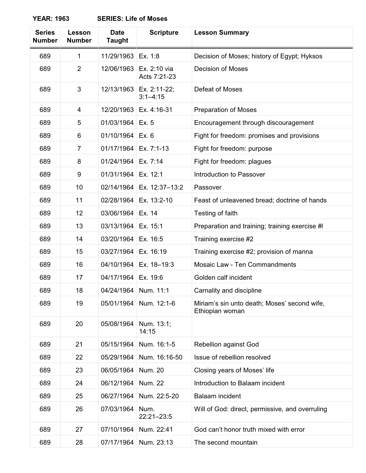**YEAR: 1963 SERIES: Life of Moses**

| <b>Series</b><br><b>Number</b> | Lesson<br><b>Number</b> | <b>Date</b><br><b>Taught</b> | <b>Scripture</b>             | <b>Lesson Summary</b>                                           |
|--------------------------------|-------------------------|------------------------------|------------------------------|-----------------------------------------------------------------|
| 689                            | 1                       | 11/29/1963                   | Ex. 1:8                      | Decision of Moses; history of Egypt; Hyksos                     |
| 689                            | $\overline{2}$          | 12/06/1963                   | Ex. 2:10 via<br>Acts 7:21-23 | <b>Decision of Moses</b>                                        |
| 689                            | 3                       | 12/13/1963                   | Ex. 2:11-22;<br>$3:1 - 4:15$ | Defeat of Moses                                                 |
| 689                            | 4                       | 12/20/1963                   | Ex. 4:16-31                  | <b>Preparation of Moses</b>                                     |
| 689                            | 5                       | 01/03/1964                   | Ex. 5                        | Encouragement through discouragement                            |
| 689                            | 6                       | 01/10/1964                   | Ex. 6                        | Fight for freedom: promises and provisions                      |
| 689                            | $\overline{7}$          | 01/17/1964                   | Ex. 7:1-13                   | Fight for freedom: purpose                                      |
| 689                            | 8                       | 01/24/1964                   | Ex. 7:14                     | Fight for freedom: plagues                                      |
| 689                            | 9                       | 01/31/1964                   | Ex. 12:1                     | Introduction to Passover                                        |
| 689                            | 10                      | 02/14/1964                   | Ex. 12:37-13:2               | Passover                                                        |
| 689                            | 11                      | 02/28/1964                   | Ex. 13:2-10                  | Feast of unleavened bread; doctrine of hands                    |
| 689                            | 12                      | 03/06/1964                   | Ex. 14                       | Testing of faith                                                |
| 689                            | 13                      | 03/13/1964                   | Ex. 15:1                     | Preparation and training; training exercise #I                  |
| 689                            | 14                      | 03/20/1964                   | Ex. 16:5                     | Training exercise #2                                            |
| 689                            | 15                      | 03/27/1964                   | Ex. 16:19                    | Training exercise #2; provision of manna                        |
| 689                            | 16                      | 04/10/1964                   | Ex. 18-19:3                  | Mosaic Law - Ten Commandments                                   |
| 689                            | 17                      | 04/17/1964                   | Ex. 19:6                     | Golden calf incident                                            |
| 689                            | 18                      | 04/24/1964                   | Num. 11:1                    | Carnality and discipline                                        |
| 689                            | 19                      | 05/01/1964                   | Num. 12:1-6                  | Miriam's sin unto death; Moses' second wife,<br>Ethiopian woman |
| 689                            | 20                      | 05/08/1964                   | Num. 13:1;<br>14:15          |                                                                 |
| 689                            | 21                      | 05/15/1964                   | Num. 16:1-5                  | Rebellion against God                                           |
| 689                            | 22                      | 05/29/1964                   | Num. 16:16-50                | Issue of rebellion resolved                                     |
| 689                            | 23                      | 06/05/1964                   | <b>Num. 20</b>               | Closing years of Moses' life                                    |
| 689                            | 24                      | 06/12/1964                   | <b>Num. 22</b>               | Introduction to Balaam incident                                 |
| 689                            | 25                      | 06/27/1964                   | Num. 22:5-20                 | Balaam incident                                                 |
| 689                            | 26                      | 07/03/1964                   | Num.<br>22:21-23:5           | Will of God: direct, permissive, and overruling                 |
| 689                            | 27                      | 07/10/1964                   | Num. 22:41                   | God can't honor truth mixed with error                          |
| 689                            | 28                      | 07/17/1964                   | Num. 23:13                   | The second mountain                                             |